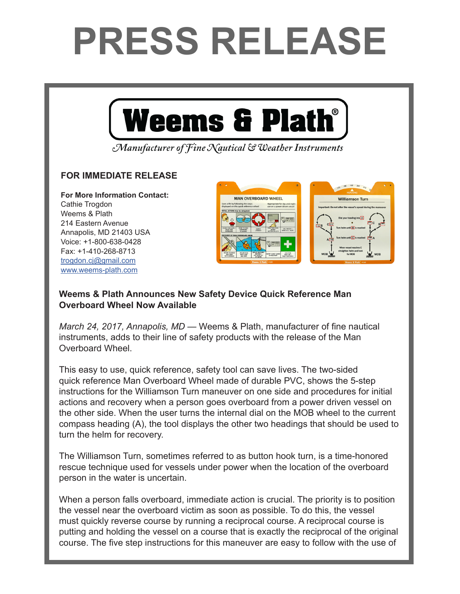## **PRESS RELEASE**



Manufacturer of Fine Nautical & Weather Instruments

## **FOR IMMEDIATE RELEASE**

**For More Information Contact:**  Cathie Trogdon Weems & Plath 214 Eastern Avenue Annapolis, MD 21403 USA Voice: +1-800-638-0428 Fax: +1-410-268-8713 trogdon.cj@gmail.com www.weems-plath.com



## **Weems & Plath Announces New Safety Device Quick Reference Man Overboard Wheel Now Available**

*March 24, 2017, Annapolis, MD* — Weems & Plath, manufacturer of fine nautical instruments, adds to their line of safety products with the release of the Man Overboard Wheel.

This easy to use, quick reference, safety tool can save lives. The two-sided quick reference Man Overboard Wheel made of durable PVC, shows the 5-step instructions for the Williamson Turn maneuver on one side and procedures for initial actions and recovery when a person goes overboard from a power driven vessel on the other side. When the user turns the internal dial on the MOB wheel to the current compass heading (A), the tool displays the other two headings that should be used to turn the helm for recovery.

The Williamson Turn, sometimes referred to as button hook turn, is a time-honored rescue technique used for vessels under power when the location of the overboard person in the water is uncertain.

When a person falls overboard, immediate action is crucial. The priority is to position the vessel near the overboard victim as soon as possible. To do this, the vessel must quickly reverse course by running a reciprocal course. A reciprocal course is putting and holding the vessel on a course that is exactly the reciprocal of the original course. The five step instructions for this maneuver are easy to follow with the use of